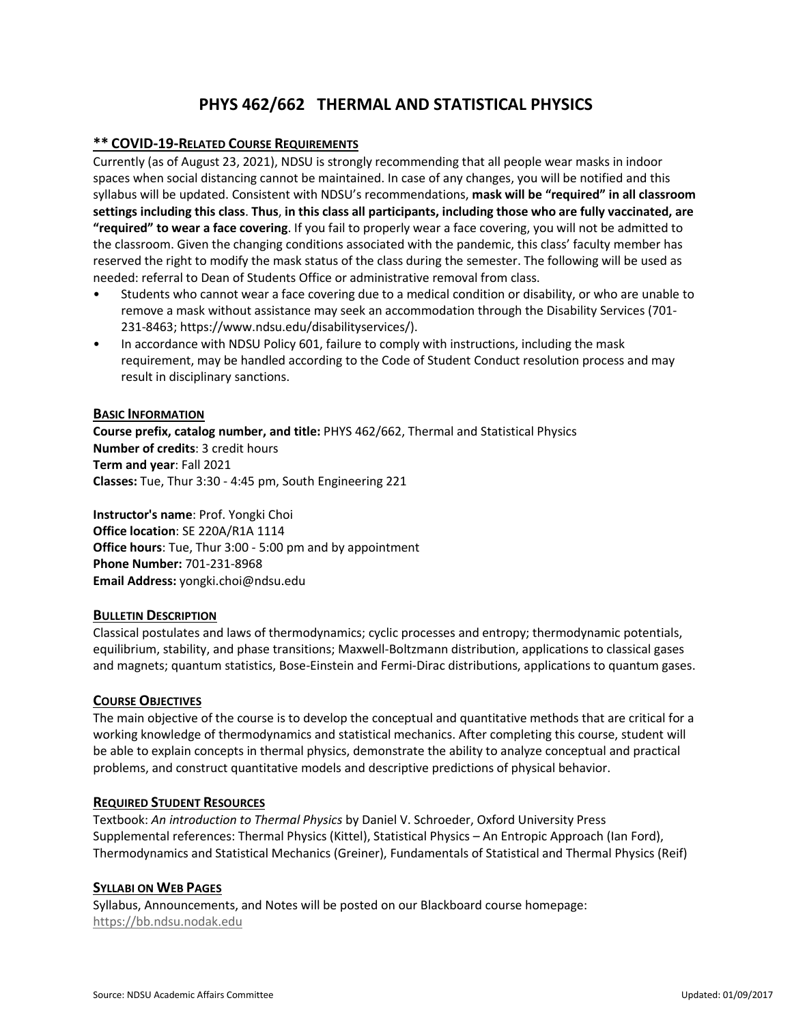# **PHYS 462/662 THERMAL AND STATISTICAL PHYSICS**

# **\*\* COVID-19-RELATED COURSE REQUIREMENTS**

Currently (as of August 23, 2021), NDSU is strongly recommending that all people wear masks in indoor spaces when social distancing cannot be maintained. In case of any changes, you will be notified and this syllabus will be updated. Consistent with NDSU's recommendations, **mask will be "required" in all classroom settings including this class**. **Thus**, **in this class all participants, including those who are fully vaccinated, are "required" to wear a face covering**. If you fail to properly wear a face covering, you will not be admitted to the classroom. Given the changing conditions associated with the pandemic, this class' faculty member has reserved the right to modify the mask status of the class during the semester. The following will be used as needed: referral to Dean of Students Office or administrative removal from class.

- Students who cannot wear a face covering due to a medical condition or disability, or who are unable to remove a mask without assistance may seek an accommodation through the Disability Services (701- 231-8463; https://www.ndsu.edu/disabilityservices/).
- In accordance with NDSU Policy 601, failure to comply with instructions, including the mask requirement, may be handled according to the Code of Student Conduct resolution process and may result in disciplinary sanctions.

#### **BASIC INFORMATION**

**Course prefix, catalog number, and title:** PHYS 462/662, Thermal and Statistical Physics **Number of credits**: 3 credit hours **Term and year**: Fall 2021 **Classes:** Tue, Thur 3:30 - 4:45 pm, South Engineering 221

**Instructor's name**: Prof. Yongki Choi **Office location**: SE 220A/R1A 1114 **Office hours**: Tue, Thur 3:00 - 5:00 pm and by appointment **Phone Number:** 701-231-8968 **Email Address:** yongki.choi@ndsu.edu

## **BULLETIN DESCRIPTION**

Classical postulates and laws of thermodynamics; cyclic processes and entropy; thermodynamic potentials, equilibrium, stability, and phase transitions; Maxwell-Boltzmann distribution, applications to classical gases and magnets; quantum statistics, Bose-Einstein and Fermi-Dirac distributions, applications to quantum gases.

## **COURSE OBJECTIVES**

The main objective of the course is to develop the conceptual and quantitative methods that are critical for a working knowledge of thermodynamics and statistical mechanics. After completing this course, student will be able to explain concepts in thermal physics, demonstrate the ability to analyze conceptual and practical problems, and construct quantitative models and descriptive predictions of physical behavior.

#### **REQUIRED STUDENT RESOURCES**

Textbook: *An introduction to Thermal Physics* by Daniel V. Schroeder, Oxford University Press Supplemental references: Thermal Physics (Kittel), Statistical Physics – An Entropic Approach (Ian Ford), Thermodynamics and Statistical Mechanics (Greiner), Fundamentals of Statistical and Thermal Physics (Reif)

## **SYLLABI ON WEB PAGES**

Syllabus, Announcements, and Notes will be posted on our Blackboard course homepage: [https://bb.ndsu.nodak.edu](https://bb.ndsu.nodak.edu/)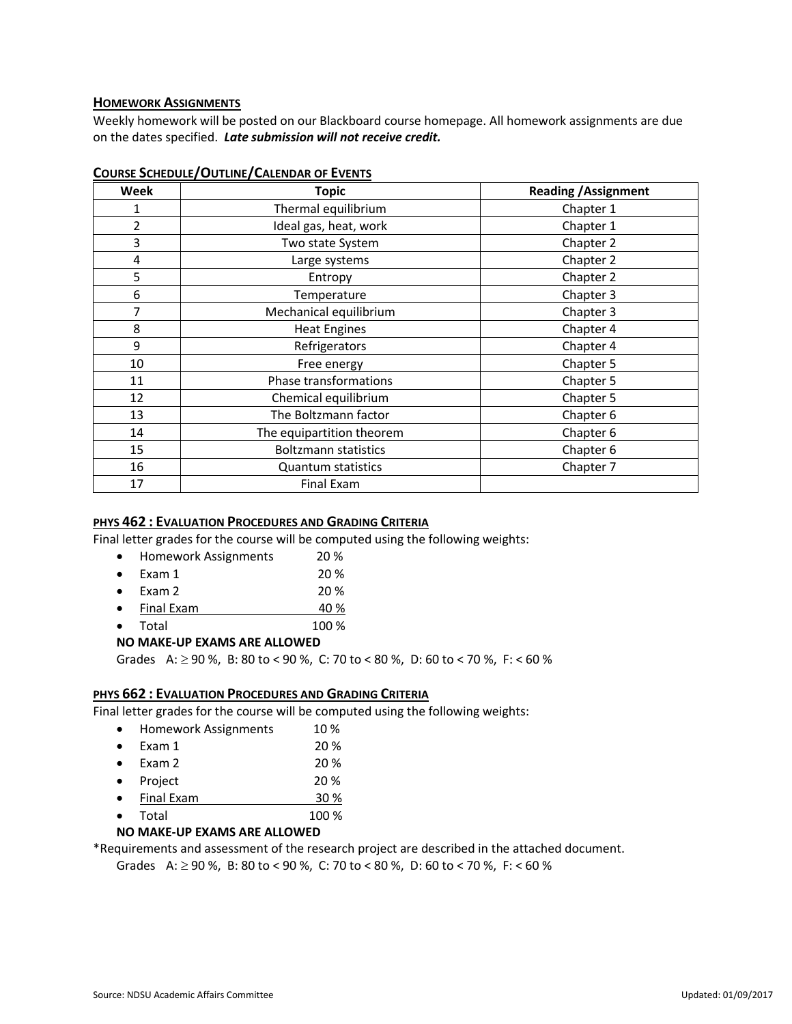# **HOMEWORK ASSIGNMENTS**

Weekly homework will be posted on our Blackboard course homepage. All homework assignments are due on the dates specified. *Late submission will not receive credit.*

| Week | <b>Topic</b>                | <b>Reading / Assignment</b> |
|------|-----------------------------|-----------------------------|
| 1    | Thermal equilibrium         | Chapter 1                   |
| 2    | Ideal gas, heat, work       | Chapter 1                   |
| 3    | Two state System            | Chapter 2                   |
| 4    | Large systems               | Chapter 2                   |
| 5    | Entropy                     | Chapter 2                   |
| 6    | Temperature                 | Chapter 3                   |
| 7    | Mechanical equilibrium      | Chapter 3                   |
| 8    | <b>Heat Engines</b>         | Chapter 4                   |
| 9    | Refrigerators               | Chapter 4                   |
| 10   | Free energy                 | Chapter 5                   |
| 11   | Phase transformations       | Chapter 5                   |
| 12   | Chemical equilibrium        | Chapter 5                   |
| 13   | The Boltzmann factor        | Chapter 6                   |
| 14   | The equipartition theorem   | Chapter 6                   |
| 15   | <b>Boltzmann statistics</b> | Chapter 6                   |
| 16   | <b>Quantum statistics</b>   | Chapter 7                   |
| 17   | Final Exam                  |                             |

### **COURSE SCHEDULE/OUTLINE/CALENDAR OF EVENTS**

## **PHYS 462 : EVALUATION PROCEDURES AND GRADING CRITERIA**

Final letter grades for the course will be computed using the following weights:

- Homework Assignments 20 %
- Exam 1 20 %
- Exam 2 20 %
- Final Exam 40 %
- Total 100 %

# **NO MAKE-UP EXAMS ARE ALLOWED**

Grades A:  $\geq$  90 %, B: 80 to < 90 %, C: 70 to < 80 %, D: 60 to < 70 %, F: < 60 %

#### **PHYS 662 : EVALUATION PROCEDURES AND GRADING CRITERIA**

Final letter grades for the course will be computed using the following weights:

| Homework Assignments | 10 % |
|----------------------|------|
|                      |      |

| Exam 1 | 20 % |
|--------|------|
|        |      |

- Exam  $2 \times 20\%$
- Project 20 %
- Final Exam 30 %
- Total 100 %

# **NO MAKE-UP EXAMS ARE ALLOWED**

\*Requirements and assessment of the research project are described in the attached document.

Grades A:  $\geq$  90 %, B: 80 to < 90 %, C: 70 to < 80 %, D: 60 to < 70 %, F: < 60 %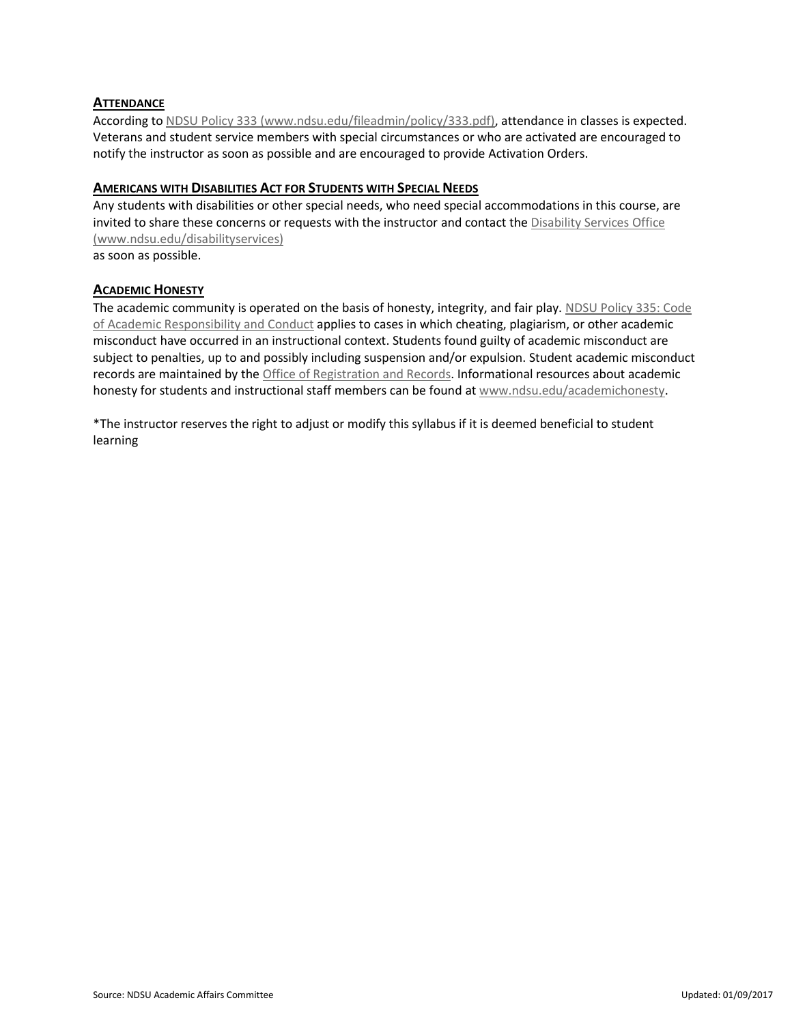# **ATTENDANCE**

According t[o NDSU Policy 333 \(www.ndsu.edu/fileadmin/policy/333.pdf\),](http://www.ndsu.edu/fileadmin/policy/333.pdf) attendance in classes is expected. Veterans and student service members with special circumstances or who are activated are encouraged to notify the instructor as soon as possible and are encouraged to provide Activation Orders.

## **AMERICANS WITH DISABILITIES ACT FOR STUDENTS WITH SPECIAL NEEDS**

Any students with disabilities or other special needs, who need special accommodations in this course, are invited to share these concerns or requests with the instructor and contact th[e Disability Services Office](http://www.ndsu.edu/disabilityservices/)  [\(www.ndsu.edu/disabilityservices\)](http://www.ndsu.edu/disabilityservices/)

as soon as possible.

#### **ACADEMIC HONESTY**

The academic community is operated on the basis of honesty, integrity, and fair play. [NDSU Policy 335: Code](http://www.ndsu.edu/fileadmin/policy/335.pdf)  [of Academic Responsibility and Conduct](http://www.ndsu.edu/fileadmin/policy/335.pdf) applies to cases in which cheating, plagiarism, or other academic misconduct have occurred in an instructional context. Students found guilty of academic misconduct are subject to penalties, up to and possibly including suspension and/or expulsion. Student academic misconduct records are maintained by the [Office of Registration and Records.](http://www.ndsu.edu/registrar/) Informational resources about academic honesty for students and instructional staff members can be found a[t www.ndsu.edu/academichonesty.](http://www.ndsu.edu/academichonesty)

\*The instructor reserves the right to adjust or modify this syllabus if it is deemed beneficial to student learning